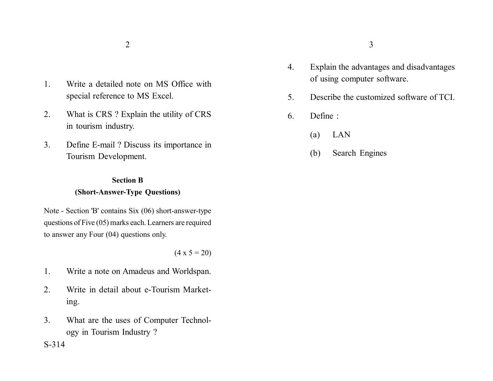- 1. Write a detailed note on MS Office with special reference to MS Excel.
- 2. What is CRS ? Explain the utility of CRS in tourism industry.
- 3. Define E-mail ? Discuss its importance in Tourism Development.

## **Section B (Short-Answer-Type Questions)**

Note - Section 'B' contains Six (06) short-answer-type questions of Five (05) marks each. Learners are required to answer any Four (04) questions only.

 $(4 \times 5 = 20)$ 

- 1. Write a note on Amadeus and Worldspan.
- 2. Write in detail about e-Tourism Marketing.
- 3. What are the uses of Computer Technology in Tourism Industry ?

 $2\overline{3}$ 

- 4. Explain the advantages and disadvantages of using computer software.
- 5. Describe the customized software of TCI.
- 6. Define :
	- (a) LAN
	- (b) Search Engines

S-314